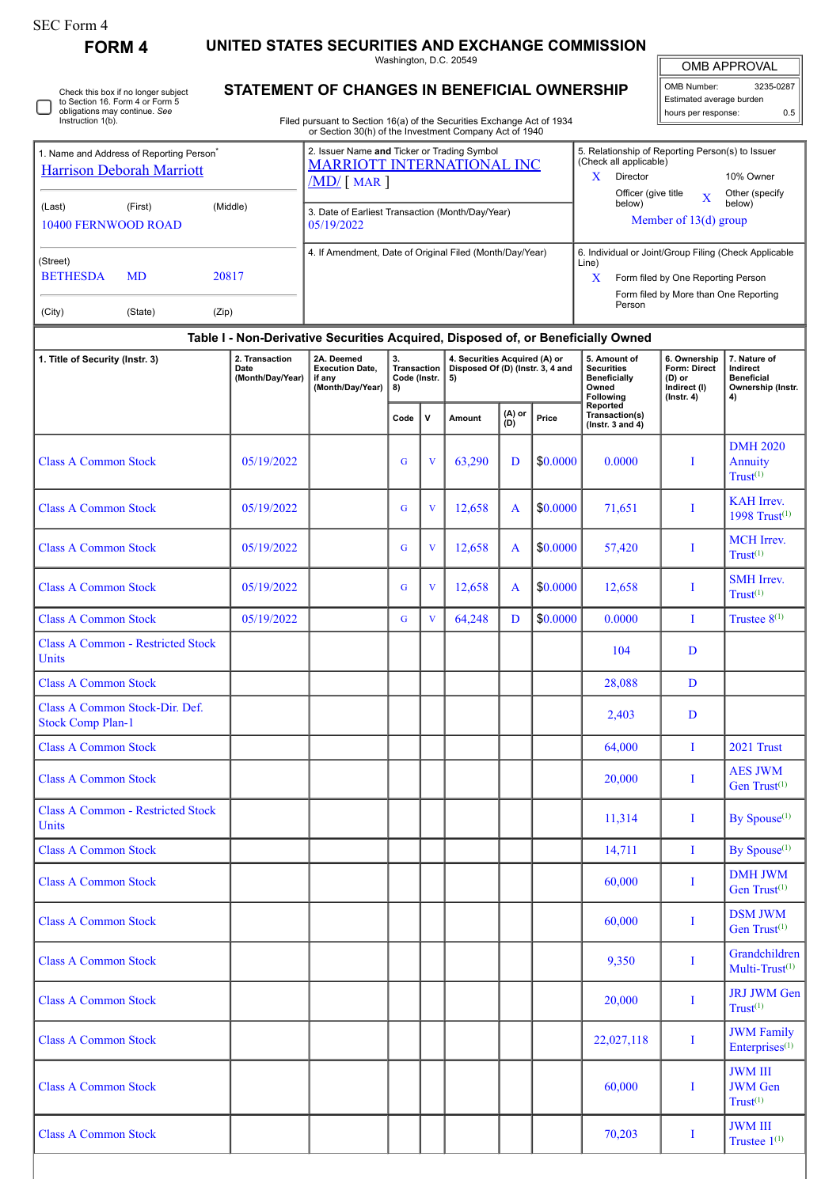| SEC Form 4 |  |
|------------|--|
|------------|--|

**FORM 4 UNITED STATES SECURITIES AND EXCHANGE COMMISSION**

Washington, D.C. 20549

| <b>OMB APPROVAL</b> |
|---------------------|
|                     |

| OMB Number:              | 3235-0287 |
|--------------------------|-----------|
| Estimated average burden |           |
| hours per response:      | 0.5       |

Other (specify below)

**7. Nature of Indirect Beneficial Ownership (Instr.**

DMH 2020 Annuity  $T$ rust $^{(1)}$ 

KAH Irrev. 1998 Trust(1)

 $T<sub>rust</sub>(1)$ 

SMH Irrev.  $Trust^{(1)}$ 

AES JWM Gen Trust<sup>(1)</sup>

DMH JWM Gen Trust<sup>(1)</sup>

DSM JWM Gen Trust<sup>(1)</sup>

Grandchildren Multi-Trust $(1)$ 

JRJ JWM Gen  $Trust^{(1)}$ 

JWM Family Enterprises<sup>(1)</sup>

JWM III JWM Gen  $T<sub>rust</sub>(1)$ 

JWM III Trustee  $1^{(1)}$ 

**4)**

**STATEMENT OF CHANGES IN BENEFICIAL OWNERSHIP** Filed pursuant to Section 16(a) of the Securities Exchange Act of 1934 or Section 30(h) of the Investment Company Act of 1940 Check this box if no longer subject to Section 16. Form 4 or Form 5 obligations may continue. *See* Instruction 1(b). 1. Name and Address of Reporting Person\* [Harrison Deborah Marriott](http://www.sec.gov/cgi-bin/browse-edgar?action=getcompany&CIK=0001359807) (Last) (First) (Middle) 10400 FERNWOOD ROAD (Street) BETHESDA MD 20817 (City) (State) (Zip) 2. Issuer Name **and** Ticker or Trading Symbol [MARRIOTT INTERNATIONAL INC](http://www.sec.gov/cgi-bin/browse-edgar?action=getcompany&CIK=0001048286) /MD/ [ MAR ] 5. Relationship of Reporting Person(s) to Issuer (Check all applicable) X Director 10% Owner Officer (give title  $\quad \quad \mathbf{X}$ 3. Date of Earliest Transaction (Month/Day/Year)<br>05/10/2022 Member of 13(d) group 05/19/2022 4. If Amendment, Date of Original Filed (Month/Day/Year) 6. Individual or Joint/Group Filing (Check Applicable Line) X Form filed by One Reporting Person Form filed by More than One Reporting Person **Table I - Non-Derivative Securities Acquired, Disposed of, or Beneficially Owned 1. Title of Security (Instr. 3) 2. Transaction** 2. Transaction<br>Date **(Month/Day/Year) 2A. Deemed Execution Date, if any (Month/Day/Year) 3. Transaction Code (Instr. 8) 4. Securities Acquired (A) or Disposed Of (D) (Instr. 3, 4 and 5) 5. Amount of Securities Beneficially Owned Following Reported Transaction(s) (Instr. 3 and 4) 6. Ownership Form: Direct (D) or Indirect (I) (Instr. 4) Code <sup>V</sup> Amount (A) or (D) Price** Class A Common Stock  $\begin{array}{|c|c|c|c|c|c|c|c|c|c|c|c|} \hline \text{Class A Common Stock} & 0.0000 & 0.0000 & 0.0000 \hline \end{array}$ Class A Common Stock 05/19/2022 G V 12,658 A  $\left| \begin{array}{c} 6 \ 1 \end{array} \right|$  V 12,658 A  $\left| \begin{array}{c} 4 \ 30.0000 \end{array} \right|$  71,651 I Class A Common Stock 05/19/2022 G V 12,658 A  $\left| \begin{array}{c} 6 \\ 12,658 \end{array} \right|$  A  $\left| \begin{array}{c} 57,420 \\ \text{$50.0000} \end{array} \right|$  I  $\left| \begin{array}{c} \text{MCH Irrev.} \\ \text{T}_{\text{m}} \end{array} \right|$ Class A Common Stock 05/19/2022 G V 12,658 A \$0.0000 12,658 I Class A Common Stock (at 0.00022 | G | v | 64,248 | D | \$0.0000 | 0.0000 | I Trustee 8<sup>(1)</sup> Class A Common - Restricted Stock Units Units 104 D<br>Units Class A Common Stock and the common Stock and the common Stock 28,088 D Class A Common Stock-Dir. Def. Stock Comp Plan-1 2,403 D<br>Stock Comp Plan-1 2,403 D Class A Common Stock (Class A Common Stock (Class A Common Stock (Class A Common Stock (Class A Common Stock (Class A Common Stock (Class A Common Stock (Class A Common Stock (Class A Common Stock (Class A Common Stock (Cl Class A Common Stock and the common Stock and the common Stock and the common Stock 20,000 In Intervention of the common Stock and T Class A Common - Restricted Stock Units II,314 I By Spouse<sup>(1)</sup> Class A Common Stock 14,711 I By Spouse(1) Class A Common Stock and the common Stock and the common Stock of the common Stock of the common Stock of the common Stock of the common Stock of the common Stock of the common Stock of the common Stock of the common Stock Class A Common Stock 60,000 I Class A Common Stock and the common Stock in the common Stock in the common Stock in the common Stock in the common Stock in the common Stock in the common Stock in the common Stock in the common Stock in the common Stock Class A Common Stock 20,000 I Class A Common Stock and the common Stock in the common Stock in the common Stock in the common Stock in the common Stock in the common Stock in the common Stock in the common Stock in the common Stock in the common Stock Class A Common Stock 60,000 I

Class A Common Stock and The Class A Common Stock I and The I and The I amplitude of the I amplitude of the I amplitude of the I amplitude of the I amplitude of the I amplitude of the I amplitude of the I amplitude of the